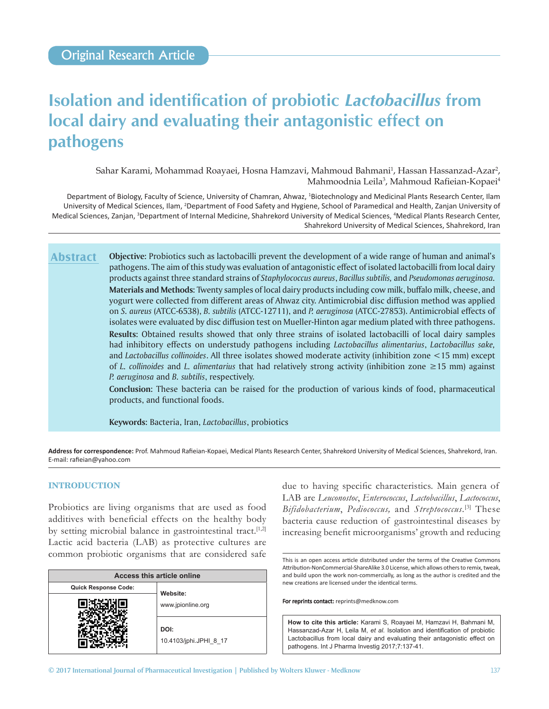# **Isolation and identification of probiotic** *Lactobacillus* **from local dairy and evaluating their antagonistic effect on pathogens**

Sahar Karami, Mohammad Roayaei, Hosna Hamzavi, Mahmoud Bahmani<sup>1</sup>, Hassan Hassanzad-Azar<sup>2</sup>, Mahmoodnia Leila<sup>3</sup>, Mahmoud Rafieian-Kopaei<sup>4</sup>

Department of Biology, Faculty of Science, University of Chamran, Ahwaz, <sup>1</sup>Biotechnology and Medicinal Plants Research Center, Ilam University of Medical Sciences, Ilam, <sup>2</sup>Department of Food Safety and Hygiene, School of Paramedical and Health, Zanjan University of Medical Sciences, Zanjan, <sup>3</sup>Department of Internal Medicine, Shahrekord University of Medical Sciences, <sup>4</sup>Medical Plants Research Center, Shahrekord University of Medical Sciences, Shahrekord, Iran

**Objective:** Probiotics such as lactobacilli prevent the development of a wide range of human and animal's pathogens. The aim of this study was evaluation of antagonistic effect of isolated lactobacilli from local dairy products against three standard strains of *Staphylococcus aureus*, *Bacillus subtilis,* and *Pseudomonas aeruginosa.* **Materials and Methods:** Twenty samples of local dairy products including cow milk, buffalo milk, cheese, and yogurt were collected from different areas of Ahwaz city. Antimicrobial disc diffusion method was applied on *S. aureus* (ATCC‑6538), *B. subtilis* (ATCC‑12711), and *P. aeruginosa* (ATCC‑27853). Antimicrobial effects of isolates were evaluated by disc diffusion test on Mueller-Hinton agar medium plated with three pathogens. **Results:** Obtained results showed that only three strains of isolated lactobacilli of local dairy samples had inhibitory effects on understudy pathogens including *Lactobacillus alimentarius*, *Lactobacillus sake,* and *Lactobacillus collinoides*. All three isolates showed moderate activity (inhibition zone <15 mm) except of *L. collinoides* and *L. alimentarius* that had relatively strong activity (inhibition zone ≥15 mm) against *P. aeruginosa* and *B. subtilis*, respectively. **Abstract**

**Conclusion:** These bacteria can be raised for the production of various kinds of food, pharmaceutical products, and functional foods.

**Keywords:** Bacteria, Iran, *Lactobacillus*, probiotics

**Address for correspondence:** Prof. Mahmoud Rafieian‑Kopaei, Medical Plants Research Center, Shahrekord University of Medical Sciences, Shahrekord, Iran. E‑mail: rafieian@yahoo.com

#### **INTRODUCTION**

Probiotics are living organisms that are used as food additives with beneficial effects on the healthy body by setting microbial balance in gastrointestinal tract.<sup>[1,2]</sup> Lactic acid bacteria (LAB) as protective cultures are common probiotic organisms that are considered safe

| Access this article online  |                                |  |  |  |  |
|-----------------------------|--------------------------------|--|--|--|--|
| <b>Quick Response Code:</b> | Website:                       |  |  |  |  |
|                             | www.jpionline.org              |  |  |  |  |
|                             | DOI:<br>10.4103/jphi.JPHI 8 17 |  |  |  |  |

due to having specific characteristics. Main genera of LAB are *Leuconostoc*, *Enterococcus*, *Lactobacillus*, *Lactococcus*, *Bifidobacterium*, *Pediococcus,* and *Streptococcus*. [3] These bacteria cause reduction of gastrointestinal diseases by increasing benefit microorganisms' growth and reducing

This is an open access article distributed under the terms of the Creative Commons Attribution-NonCommercial-ShareAlike 3.0 License, which allows others to remix, tweak, and build upon the work non‑commercially, as long as the author is credited and the new creations are licensed under the identical terms.

For reprints contact: reprints@medknow.com

**How to cite this article:** Karami S, Roayaei M, Hamzavi H, Bahmani M, Hassanzad-Azar H, Leila M, *et al*. Isolation and identification of probiotic Lactobacillus from local dairy and evaluating their antagonistic effect on pathogens. Int J Pharma Investig 2017;7:137-41.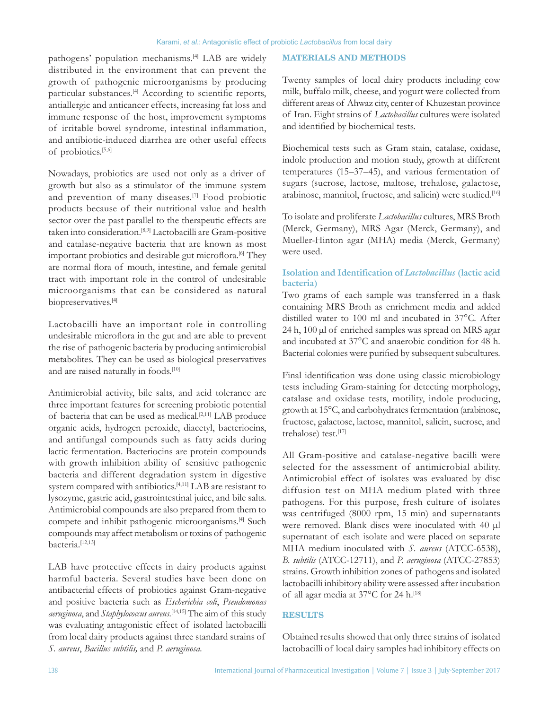pathogens' population mechanisms.<sup>[4]</sup> LAB are widely distributed in the environment that can prevent the growth of pathogenic microorganisms by producing particular substances.<sup>[4]</sup> According to scientific reports, antiallergic and anticancer effects, increasing fat loss and immune response of the host, improvement symptoms of irritable bowel syndrome, intestinal inflammation, and antibiotic‑induced diarrhea are other useful effects of probiotics.[5,6]

Nowadays, probiotics are used not only as a driver of growth but also as a stimulator of the immune system and prevention of many diseases.<sup>[7]</sup> Food probiotic products because of their nutritional value and health sector over the past parallel to the therapeutic effects are taken into consideration.<sup>[8,9]</sup> Lactobacilli are Gram-positive and catalase‑negative bacteria that are known as most important probiotics and desirable gut microflora.<sup>[6]</sup> They are normal flora of mouth, intestine, and female genital tract with important role in the control of undesirable microorganisms that can be considered as natural biopreservatives.[4]

Lactobacilli have an important role in controlling undesirable microflora in the gut and are able to prevent the rise of pathogenic bacteria by producing antimicrobial metabolites. They can be used as biological preservatives and are raised naturally in foods.<sup>[10]</sup>

Antimicrobial activity, bile salts, and acid tolerance are three important features for screening probiotic potential of bacteria that can be used as medical.<sup>[2,11]</sup> LAB produce organic acids, hydrogen peroxide, diacetyl, bacteriocins, and antifungal compounds such as fatty acids during lactic fermentation. Bacteriocins are protein compounds with growth inhibition ability of sensitive pathogenic bacteria and different degradation system in digestive system compared with antibiotics.<sup>[4,11]</sup> LAB are resistant to lysozyme, gastric acid, gastrointestinal juice, and bile salts. Antimicrobial compounds are also prepared from them to compete and inhibit pathogenic microorganisms.[4] Such compounds may affect metabolism or toxins of pathogenic bacteria.[12,13]

LAB have protective effects in dairy products against harmful bacteria. Several studies have been done on antibacterial effects of probiotics against Gram‑negative and positive bacteria such as *Escherichia coli*, *Pseudomonas aeruginosa*, and *Staphylococcus aureus*. [14,15] The aim of this study was evaluating antagonistic effect of isolated lactobacilli from local dairy products against three standard strains of *S. aureus*, *Bacillus subtilis,* and *P. aeruginosa.*

#### **MATERIALS AND METHODS**

Twenty samples of local dairy products including cow milk, buffalo milk, cheese, and yogurt were collected from different areas of Ahwaz city, center of Khuzestan province of Iran. Eight strains of *Lactobacillus* cultures were isolated and identified by biochemical tests.

Biochemical tests such as Gram stain, catalase, oxidase, indole production and motion study, growth at different temperatures (15–37–45), and various fermentation of sugars (sucrose, lactose, maltose, trehalose, galactose, arabinose, mannitol, fructose, and salicin) were studied.<sup>[16]</sup>

To isolate and proliferate *Lactobacillus* cultures, MRS Broth (Merck, Germany), MRS Agar (Merck, Germany), and Mueller‑Hinton agar (MHA) media (Merck, Germany) were used.

## **Isolation and Identification of** *Lactobacillus* **(lactic acid bacteria)**

Two grams of each sample was transferred in a flask containing MRS Broth as enrichment media and added distilled water to 100 ml and incubated in 37°C. After 24 h, 100 µl of enriched samples was spread on MRS agar and incubated at 37°C and anaerobic condition for 48 h. Bacterial colonies were purified by subsequent subcultures.

Final identification was done using classic microbiology tests including Gram‑staining for detecting morphology, catalase and oxidase tests, motility, indole producing, growth at 15°C, and carbohydrates fermentation (arabinose, fructose, galactose, lactose, mannitol, salicin, sucrose, and trehalose) test.[17]

All Gram-positive and catalase-negative bacilli were selected for the assessment of antimicrobial ability. Antimicrobial effect of isolates was evaluated by disc diffusion test on MHA medium plated with three pathogens. For this purpose, fresh culture of isolates was centrifuged (8000 rpm, 15 min) and supernatants were removed. Blank discs were inoculated with 40 µl supernatant of each isolate and were placed on separate MHA medium inoculated with *S. aureus* (ATCC‑6538), *B. subtilis* (ATCC‑12711), and *P. aeruginosa* (ATCC‑27853) strains*.* Growth inhibition zones of pathogens and isolated lactobacilli inhibitory ability were assessed after incubation of all agar media at 37°C for 24 h.<sup>[18]</sup>

# **RESULTS**

Obtained results showed that only three strains of isolated lactobacilli of local dairy samples had inhibitory effects on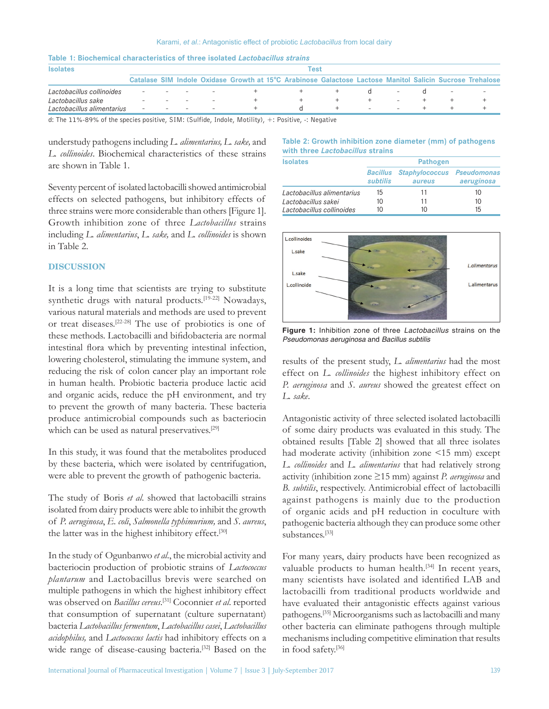| <b>Isolates</b>            | Test   |  |  |        |                                                                                                          |  |  |                          |                          |  |                          |  |
|----------------------------|--------|--|--|--------|----------------------------------------------------------------------------------------------------------|--|--|--------------------------|--------------------------|--|--------------------------|--|
|                            |        |  |  |        | Catalase SIM Indole Oxidase Growth at 15°C Arabinose Galactose Lactose Manitol Salicin Sucrose Trehalose |  |  |                          |                          |  |                          |  |
| Lactobacillus collinoides  |        |  |  |        |                                                                                                          |  |  |                          |                          |  | $\overline{\phantom{a}}$ |  |
| Lactobacillus sake         |        |  |  | $\sim$ |                                                                                                          |  |  |                          | $\sim$                   |  |                          |  |
| Lactobacillus alimentarius | $\sim$ |  |  |        |                                                                                                          |  |  | $\overline{\phantom{0}}$ | $\overline{\phantom{0}}$ |  |                          |  |

# **Table 1: Biochemical characteristics of three isolated** *Lactobacillus strains*

d: The 11%‑89% of the species positive, SIM: (Sulfide, Indole, Motility), +: Positive, -: Negative

understudy pathogens including *L. alimentarius, L. sake,* and *L. collinoides*. Biochemical characteristics of these strains are shown in Table 1.

Seventy percent of isolated lactobacilli showed antimicrobial effects on selected pathogens, but inhibitory effects of three strains were more considerable than others [Figure 1]. Growth inhibition zone of three *Lactobacillus* strains including *L. alimentarius*, *L. sake,* and *L. collinoides* is shown in Table 2.

#### **DISCUSSION**

It is a long time that scientists are trying to substitute synthetic drugs with natural products.<sup>[19-22]</sup> Nowadays, various natural materials and methods are used to prevent or treat diseases.[22‑28] The use of probiotics is one of these methods. Lactobacilli and bifidobacteria are normal intestinal flora which by preventing intestinal infection, lowering cholesterol, stimulating the immune system, and reducing the risk of colon cancer play an important role in human health. Probiotic bacteria produce lactic acid and organic acids, reduce the pH environment, and try to prevent the growth of many bacteria. These bacteria produce antimicrobial compounds such as bacteriocin which can be used as natural preservatives.<sup>[29]</sup>

In this study, it was found that the metabolites produced by these bacteria, which were isolated by centrifugation, were able to prevent the growth of pathogenic bacteria.

The study of Boris *et al*. showed that lactobacilli strains isolated from dairy products were able to inhibit the growth of *P. aeruginosa*, *E. coli*, *Salmonella typhimurium,* and *S*. *aureus*, the latter was in the highest inhibitory effect.<sup>[30]</sup>

In the study of Ogunbanwo *et al*., the microbial activity and bacteriocin production of probiotic strains of *Lactococcus plantarum* and Lactobacillus brevis were searched on multiple pathogens in which the highest inhibitory effect was observed on *Bacillus cereus*. [31] Coconnier *et al*. reported that consumption of supernatant (culture supernatant) bacteria *Lactobacillus fermentum*, *Lactobacillus casei*, *Lactobacillus acidophilus,* and *Lactococcus lactis* had inhibitory effects on a wide range of disease-causing bacteria.<sup>[32]</sup> Based on the

#### **Table 2: Growth inhibition zone diameter (mm) of pathogens with three** *Lactobacillus* **strains**

| <b>Isolates</b>            | <b>Pathogen</b>             |                                             |            |  |  |  |
|----------------------------|-----------------------------|---------------------------------------------|------------|--|--|--|
|                            | <b>Bacillus</b><br>subtilis | <b>Staphylococcus Pseudomonas</b><br>aureus | aeruginosa |  |  |  |
| Lactobacillus alimentarius | 15                          | 11                                          | 10         |  |  |  |
| Lactobacillus sakei        | 10                          | 11                                          | 10         |  |  |  |
| Lactobacillus collinoides  | 10                          | 10                                          | 15         |  |  |  |



**Figure 1:** Inhibition zone of three *Lactobacillus* strains on the *Pseudomonas aeruginosa* and *Bacillus subtilis*

results of the present study, *L. alimentarius* had the most effect on *L. collinoides* the highest inhibitory effect on *P. aeruginosa* and *S. aureus* showed the greatest effect on *L. sake*.

Antagonistic activity of three selected isolated lactobacilli of some dairy products was evaluated in this study. The obtained results [Table 2] showed that all three isolates had moderate activity (inhibition zone <15 mm) except *L. collinoides* and *L. alimentarius* that had relatively strong activity (inhibition zone ≥15 mm) against *P. aeruginosa* and *B. subtilis*, respectively. Antimicrobial effect of lactobacilli against pathogens is mainly due to the production of organic acids and pH reduction in coculture with pathogenic bacteria although they can produce some other substances.[33]

For many years, dairy products have been recognized as valuable products to human health.<sup>[34]</sup> In recent years, many scientists have isolated and identified LAB and lactobacilli from traditional products worldwide and have evaluated their antagonistic effects against various pathogens.[35] Microorganisms such as lactobacilli and many other bacteria can eliminate pathogens through multiple mechanisms including competitive elimination that results in food safety.[36]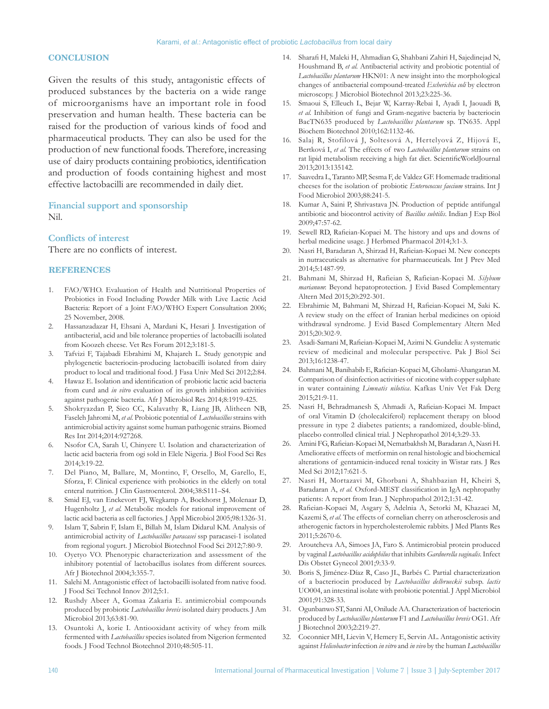#### **CONCLUSION**

Given the results of this study, antagonistic effects of produced substances by the bacteria on a wide range of microorganisms have an important role in food preservation and human health. These bacteria can be raised for the production of various kinds of food and pharmaceutical products. They can also be used for the production of new functional foods. Therefore, increasing use of dairy products containing probiotics, identification and production of foods containing highest and most effective lactobacilli are recommended in daily diet.

### **Financial support and sponsorship**

Nil.

### **Conflicts of interest**

There are no conflicts of interest.

#### **REFERENCES**

- 1. FAO/WHO. Evaluation of Health and Nutritional Properties of Probiotics in Food Including Powder Milk with Live Lactic Acid Bacteria: Report of a Joint FAO/WHO Expert Consultation 2006; 25 November, 2008.
- 2. Hassanzadazar H, Ehsani A, Mardani K, Hesari J. Investigation of antibacterial, acid and bile tolerance properties of lactobacilli isolated from Koozeh cheese. Vet Res Forum 2012;3:181-5.
- 3. Tafvizi F, Tajabadi Ebrahimi M, Khajareh L. Study genotypic and phylogenetic bacteriocin‑producing lactobacilli isolated from dairy product to local and traditional food. J Fasa Univ Med Sci 2012;2:84.
- 4. Hawaz E. Isolation and identification of probiotic lactic acid bacteria from curd and *in vitro* evaluation of its growth inhibition activities against pathogenic bacteria. Afr J Microbiol Res 2014;8:1919-425.
- 5. Shokryazdan P, Sieo CC, Kalavathy R, Liang JB, Alitheen NB, Faseleh Jahromi M, *et al.* Probiotic potential of *Lactobacillus* strains with antimicrobial activity against some human pathogenic strains. Biomed Res Int 2014;2014:927268.
- 6. Nsofor CA, Sarah U, Chinyere U. Isolation and characterization of lactic acid bacteria from ogi sold in Elele Nigeria. J Biol Food Sci Res 2014;3:19‑22.
- 7. Del Piano, M, Ballare, M, Montino, F, Orsello, M, Garello, E, Sforza, F. Clinical experience with probiotics in the elderly on total enteral nutrition. J Clin Gastroenterol. 2004;38:S111–S4.
- 8. Smid EJ, van Enckevort FJ, Wegkamp A, Boekhorst J, Molenaar D, Hugenholtz J, *et al.* Metabolic models for rational improvement of lactic acid bacteria as cell factories. J Appl Microbiol 2005;98:1326‑31.
- 9. Islam T, Sabrin F, Islam E, Billah M, Islam Didarul KM. Analysis of antimicrobial activity of *Lactobacillus paracasei* ssp paracasei‑1 isolated from regional yogurt. J Microbiol Biotechnol Food Sci 2012;7:80-9.
- 10. Oyetyo VO. Phenotypic characterization and assessment of the inhibitory potential of lactobacillus isolates from different sources. Afr J Biotechnol 2004;3:355‑7.
- 11. Salehi M. Antagonistic effect of lactobacilli isolated from native food. J Food Sci Technol Innov 2012;5:1.
- 12. Rushdy Abeer A, Gomaa Zakaria E. antimicrobial compounds produced by probiotic *Lactobacillus brevis* isolated dairy products. J Am Microbiol 2013;63:81‑90.
- 13. Osuntoki A, korie I. Antiooxidant activity of whey from milk fermented with *Lactobacillus* species isolated from Nigerion fermented foods. J Food Technol Biotechnol 2010;48:505‑11.
- 14. Sharafi H, Maleki H, Ahmadian G, Shahbani Zahiri H, Sajedinejad N, Houshmand B, *et al.* Antibacterial activity and probiotic potential of *Lactobacillus plantarum* HKN01: A new insight into the morphological changes of antibacterial compound‑treated *Escherichia coli* by electron microscopy. J Microbiol Biotechnol 2013;23:225‑36.
- 15. Smaoui S, Elleuch L, Bejar W, Karray‑Rebai I, Ayadi I, Jaouadi B, *et al.* Inhibition of fungi and Gram‑negative bacteria by bacteriocin BacTN635 produced by *Lactobacillus plantarum* sp. TN635. Appl Biochem Biotechnol 2010;162:1132‑46.
- 16. Salaj R, Stofilová J, Soltesová A, Hertelyová Z, Hijová E, Bertková I, *et al.* The effects of two *Lactobacillus plantarum* strains on rat lipid metabolism receiving a high fat diet. ScientificWorldJournal 2013;2013:135142.
- 17. Saavedra L, Taranto MP, Sesma F, de Valdez GF. Homemade traditional cheeses for the isolation of probiotic *Enterococcus faecium* strains. Int J Food Microbiol 2003;88:241‑5.
- 18. Kumar A, Saini P, Shrivastava JN. Production of peptide antifungal antibiotic and biocontrol activity of *Bacillus subtilis*. Indian J Exp Biol 2009;47:57‑62.
- 19. Sewell RD, Rafieian‑Kopaei M. The history and ups and downs of herbal medicine usage. J Herbmed Pharmacol 2014;3:1‑3.
- 20. Nasri H, Baradaran A, Shirzad H, Rafieian‑Kopaei M. New concepts in nutraceuticals as alternative for pharmaceuticals. Int J Prev Med 2014;5:1487‑99.
- 21. Bahmani M, Shirzad H, Rafieian S, Rafieian‑Kopaei M. *Silybum marianum*: Beyond hepatoprotection. J Evid Based Complementary Altern Med 2015;20:292‑301.
- 22. Ebrahimie M, Bahmani M, Shirzad H, Rafieian‑Kopaei M, Saki K. A review study on the effect of Iranian herbal medicines on opioid withdrawal syndrome. J Evid Based Complementary Altern Med 2015;20:302‑9.
- 23. Asadi‑Samani M, Rafieian‑Kopaei M, Azimi N. Gundelia: A systematic review of medicinal and molecular perspective. Pak J Biol Sci 2013;16:1238‑47.
- 24. Bahmani M, Banihabib E, Rafieian‑Kopaei M, Gholami‑Ahangaran M. Comparison of disinfection activities of nicotine with copper sulphate in water containing *Limnatis nilotica*. Kafkas Univ Vet Fak Derg  $2015:21:9-11$ .
- 25. Nasri H, Behradmanesh S, Ahmadi A, Rafieian‑Kopaei M. Impact of oral Vitamin D (cholecalciferol) replacement therapy on blood pressure in type 2 diabetes patients; a randomized, double‑blind, placebo controlled clinical trial. J Nephropathol 2014;3:29‑33.
- 26. Amini FG, Rafieian-Kopaei M, Nematbakhsh M, Baradaran A, Nasri H. Ameliorative effects of metformin on renal histologic and biochemical alterations of gentamicin‑induced renal toxicity in Wistar rats. J Res Med Sci 2012;17:621-5.
- 27. Nasri H, Mortazavi M, Ghorbani A, Shahbazian H, Kheiri S, Baradaran A, *et al.* Oxford‑MEST classification in IgA nephropathy patients: A report from Iran. J Nephropathol 2012;1:31-42.
- 28. Rafieian‑Kopaei M, Asgary S, Adelnia A, Setorki M, Khazaei M, Kazemi S, *et al*. The effects of cornelian cherry on atherosclerosis and atherogenic factors in hypercholesterolemic rabbits. J Med Plants Res 2011;5:2670‑6.
- 29. Aroutcheva AA, Simoes JA, Faro S. Antimicrobial protein produced by vaginal *Lactobacillus acidophilus* that inhibits *Gardnerella vaginalis*. Infect Dis Obstet Gynecol 2001;9:33‑9.
- 30. Boris S, Jiménez‑Díaz R, Caso JL, Barbés C. Partial characterization of a bacteriocin produced by *Lactobacillus delbrueckii* subsp. *lactis* UO004, an intestinal isolate with probiotic potential. J Appl Microbiol 2001;91:328‑33.
- 31. Ogunbanwo ST, Sanni AI, Onilude AA. Characterization of bacteriocin produced by *Lactobacillus plantarum* F1 and *Lactobacillus brevis* OG1. Afr J Biotechnol 2003;2:219‑27.
- 32. Coconnier MH, Lievin V, Hemery E, Servin AL. Antagonistic activity against *Helicobacter* infection *in vitro* and *in vivo* by the human *Lactobacillus*